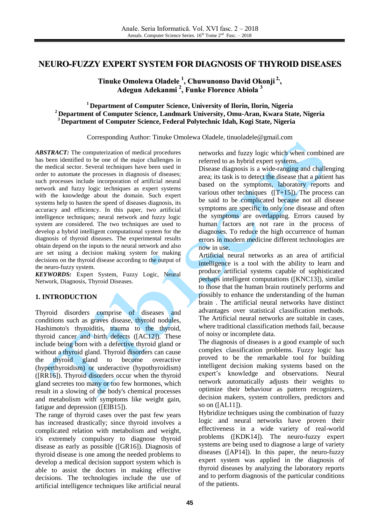## **NEURO-FUZZY EXPERT SYSTEM FOR DIAGNOSIS OF THYROID DISEASES**

**Tinuke Omolewa Oladele 1 , Chuwunonso David Okonji 2, , Adegun Adekanmi 2 , Funke Florence Abiola 3**

#### **<sup>1</sup>Department of Computer Science, University of Ilorin, Ilorin, Nigeria <sup>2</sup>Department of Computer Science, Landmark University, Omu-Aran, Kwara State, Nigeria <sup>3</sup> Department of Computer Science, Federal Polytechnic Idah, Kogi State, Nigeria**

Corresponding Author: Tinuke Omolewa Oladele, [tinuoladele@gmail.com](mailto:tinuoladele@gmail.com)

*ABSTRACT:* The computerization of medical procedures has been identified to be one of the major challenges in the medical sector. Several techniques have been used in order to automate the processes in diagnosis of diseases; such processes include incorporation of artificial neural network and fuzzy logic techniques as expert systems with the knowledge about the domain. Such expert systems help to hasten the speed of diseases diagnosis, its accuracy and efficiency. In this paper, two artificial intelligence techniques; neural network and fuzzy logic system are considered. The two techniques are used to develop a hybrid intelligent computational system for the diagnosis of thyroid diseases. The experimental results obtain depend on the inputs to the neural network and also are set using a decision making system for making decisions on the thyroid disease according to the output of the neuro-fuzzy system.

*KEYWORDS:* Expert System, Fuzzy Logic, Neural Network, Diagnosis, Thyroid Diseases.

### **1. INTRODUCTION**

Thyroid disorders comprise of diseases and conditions such as graves disease, thyroid nodules, Hashimoto's thyroiditis, trauma to the thyroid, thyroid cancer and birth defects ([AC12]). These include being born with a defective thyroid gland or without a thyroid gland. Thyroid disorders can cause the thyroid gland to become overactive (hyperthyroidism) or underactive (hypothyroidism) ([RR16]). Thyroid disorders occur when the thyroid gland secretes too many or too few hormones, which result in a slowing of the body's chemical processes and metabolism with symptoms like weight gain, fatigue and depression ([ElB15]).

The range of thyroid cases over the past few years has increased drastically; since thyroid involves a complicated relation with metabolism and weight, it's extremely compulsory to diagnose thyroid disease as early as possible ([GR16]). Diagnosis of thyroid disease is one among the needed problems to develop a medical decision support system which is able to assist the doctors in making effective decisions. The technologies include the use of artificial intelligence techniques like artificial neural

networks and fuzzy logic which when combined are referred to as hybrid expert systems.

Disease diagnosis is a wide-ranging and challenging area; its task is to detect the disease that a patient has based on the symptoms, laboratory reports and various other techniques  $([T+15])$ . The process can be said to be complicated because not all disease symptoms are specific to only one disease and often the symptoms are overlapping. Errors caused by human factors are not rare in the process of diagnoses. To reduce the high occurrence of human errors in modern medicine different technologies are now in use.

Artificial neural networks as an area of artificial intelligence is a tool with the ability to learn and produce artificial systems capable of sophisticated perhaps intelligent computations ([KNC13]), similar to those that the human brain routinely performs and possibly to enhance the understanding of the human brain . The artificial neural networks have distinct advantages over statistical classification methods. The Artificial neural networks are suitable in cases, where traditional classification methods fail, because of noisy or incomplete data.

The diagnosis of diseases is a good example of such complex classification problems. Fuzzy logic has proved to be the remarkable tool for building intelligent decision making systems based on the expert's knowledge and observations. Neural network automatically adjusts their weights to optimize their behaviour as pattern recognizers, decision makers, system controllers, predictors and so on ([AL11]).

Hybridize techniques using the combination of fuzzy logic and neural networks have proven their effectiveness in a wide variety of real-world problems ([KDK14]). The neuro-fuzzy expert systems are being used to diagnose a large of variety diseases ([AP14]). In this paper, the neuro-fuzzy expert system was applied in the diagnosis of thyroid diseases by analyzing the laboratory reports and to perform diagnosis of the particular conditions of the patients.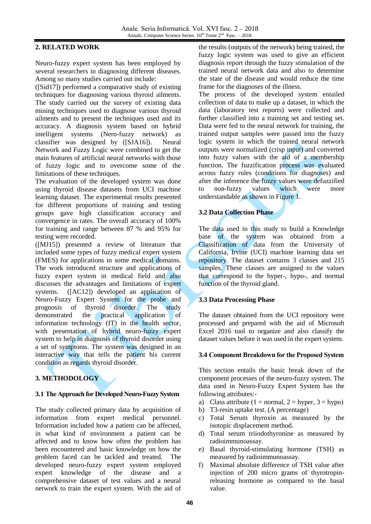#### **2. RELATED WORK**

Neuro-fuzzy expert system has been employed by several researchers in diagnosing different diseases. Among so many studies carried out include:

([Sid17]) performed a comparative study of existing techniques for diagnosing various thyroid ailments. The study carried out the survey of existing data mining techniques used to diagnose various thyroid ailments and to present the techniques used and its accuracy. A diagnosis system based on hybrid intelligent systems (Nero-fuzzy network) as classifier was designed by ([SJA16]). Neural Network and Fuzzy Logic were combined to get the main features of artificial neural networks with those of fuzzy logic and to overcome some of the limitations of these techniques.

The evaluation of the developed system was done using thyroid disease datasets from UCI machine learning dataset. The experimental results presented for different proportions of training and testing groups gave high classification accuracy and convergence in rates. The overall accuracy of 100% for training and range between 87 % and 95% for testing were recorded.

([MJ15]) presented a review of literature that included some types of fuzzy medical expert system (FMES) for applications in some medical domains. The work introduced structure and applications of fuzzy expert system in medical field and also discusses the advantages and limitations of expert systems. ([AC12]) developed an application of Neuro-Fuzzy Expert System for the probe and prognosis of thyroid disorder. The study demonstrated the practical application of information technology (IT) in the health sector, with presentation of hybrid neuro-fuzzy expert system to help in diagnosis of thyroid disorder using a set of symptoms. The system was designed in an interactive way that tells the patient his current condition as regards thyroid disorder.

# **3. METHODOLOGY**

### **3.1 The Approach for Developed Neuro-Fuzzy System**

The study collected primary data by acquisition of information from expert medical personnel. Information included how a patient can be affected, in what kind of environment a patient can be affected and to know how often the problem has been encountered and basic knowledge on how the problem faced can be tackled and treated. The developed neuro-fuzzy expert system employed expert knowledge of the disease and a comprehensive dataset of test values and a neural network to train the expert system. With the aid of

the results (outputs of the network) being trained, the fuzzy logic system was used to give an efficient diagnosis report through the fuzzy stimulation of the trained neural network data and also to determine the state of the disease and would reduce the time frame for the diagnoses of the illness.

The process of the developed system entailed collection of data to make up a dataset, in which the data (laboratory test reports) were collected and further classified into a training set and testing set. Data were fed to the neural network for training, the trained output samples were passed into the fuzzy logic system in which the trained neural network outputs were normalized (crisp input) and converted into fuzzy values with the aid of a membership function. The fuzzification process was evaluated across fuzzy rules (conditions for diagnoses) and after the inference the fuzzy values were defuzzified to non-fuzzy values which were more understandable as shown in Figure 1.

### **3.2 Data Collection Phase**

The data used in this study to build a Knowledge base of the system was obtained from a Classification of data from the University of California, Irvine (UCI) machine learning data set repository. The dataset contains 3 classes and 215 samples. These classes are assigned to the values that correspond to the hyper-, hypo-, and normal function of the thyroid gland.

## **3.3 Data Processing Phase**

The dataset obtained from the UCI repository were processed and prepared with the aid of Microsoft Excel 2016 tool to organize and also classify the dataset values before it was used in the expert system.

### **3.4 Component Breakdown for the Proposed System**

This section entails the basic break down of the component processes of the neuro-fuzzy system. The data used in Neuro-Fuzzy Expert System has the following attributes:-

- a) Class attribute (1 = normal, 2 = hyper, 3 = hypo)
- b) T3-resin uptake test. (A percentage)
- c) Total Serum thyroxin as measured by the isotopic displacement method.
- d) Total serum triiodothyronine as measured by radioimmunoassay.
- e) Basal thyroid-stimulating hormone (TSH) as measured by radioimmunoassay.
- f) Maximal absolute difference of TSH value after injection of 200 micro grams of thyrotropinreleasing hormone as compared to the basal value.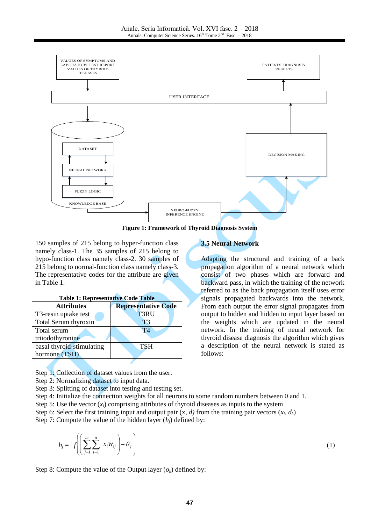

**Figure 1: Framework of Thyroid Diagnosis System**

150 samples of 215 belong to hyper-function class namely class-1. The 35 samples of 215 belong to hypo-function class namely class-2. 30 samples of 215 belong to normal-function class namely class-3. The representative codes for the attribute are given in Table 1.

| <b>Table 1: Representative Code Table</b> |                            |
|-------------------------------------------|----------------------------|
| <b>Attributes</b>                         | <b>Representative Code</b> |
| T3-resin uptake test                      | T3RU                       |
| Total Serum thyroxin                      | T <sub>3</sub>             |
| Total serum                               | T4                         |
| triiodothyronine                          |                            |
| basal thyroid-stimulating                 | <b>TSH</b>                 |
| hormone (TSH)                             |                            |
|                                           |                            |

Step 1: Collection of dataset values from the user.

Step 2: Normalizing dataset to input data.

Step 3: Splitting of dataset into testing and testing set.

Step 4: Initialize the connection weights for all neurons to some random numbers between 0 and 1.

Step 5: Use the vector  $(x<sub>i</sub>)$  comprising attributes of thyroid diseases as inputs to the system

Step 6: Select the first training input and output pair  $(x, d)$  from the training pair vectors  $(x_i, d_k)$ 

Step 7: Compute the value of the hidden layer  $(h_i)$  defined by:

$$
h_j = f\left(\left(\sum_{j=1}^m \sum_{i=1}^n x_i W_{ij}\right) + \theta_j\right) \tag{1}
$$

Step 8: Compute the value of the Output layer  $(o_k)$  defined by:

## **3.5 Neural Network**

Adapting the structural and training of a back propagation algorithm of a neural network which consist of two phases which are forward and backward pass, in which the training of the network referred to as the back propagation itself uses error signals propagated backwards into the network. From each output the error signal propagates from output to hidden and hidden to input layer based on the weights which are updated in the neural network. In the training of neural network for thyroid disease diagnosis the algorithm which gives a description of the neural network is stated as follows: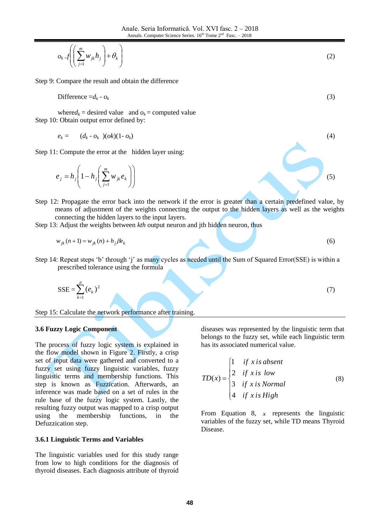$$
o_k = f\left(\left(\sum_{j=1}^m w_{jk} h_j\right) + \theta_k\right) \tag{2}
$$

Step 9: Compare the result and obtain the difference

$$
\text{Difference} = d_k - o_k \tag{3}
$$

where $d_k$  = desired value and  $o_k$  = computed value Step 10: Obtain output error defined by:

$$
e_k = (d_k \cdot o_k)(ok)(1 \cdot o_k) \tag{4}
$$

Step 11: Compute the error at the hidden layer using:

$$
e_j = h_j \left( 1 - h_j \left( \sum_{j=1}^m w_{jk} e_k \right) \right)
$$

- Step 12: Propagate the error back into the network if the error is greater than a certain predefined value, by means of adjustment of the weights connecting the output to the hidden layers as well as the weights connecting the hidden layers to the input layers.
- Step 13: Adjust the weights between *kth* output neuron and jth hidden neuron, thus

$$
w_{jk}(n+1) = w_{jk}(n) + h_j \beta e_k
$$

Step 14: Repeat steps 'b' through 'j' as many cycles as needed until the Sum of Squared Error(SSE) is within a prescribed tolerance using the formula

$$
SSE = \sum_{k=1}^{p} (e_k)^2
$$
 (7)

Step 15: Calculate the network performance after training.

#### **3.6 Fuzzy Logic Component**

The process of fuzzy logic system is explained in the flow model shown in Figure 2. Firstly, a crisp set of input data were gathered and converted to a fuzzy set using fuzzy linguistic variables, fuzzy linguistic terms and membership functions. This step is known as Fuzzication. Afterwards, an inference was made based on a set of rules in the rule base of the fuzzy logic system. Lastly, the resulting fuzzy output was mapped to a crisp output using the membership functions, in the Defuzzication step.

#### **3.6.1 Linguistic Terms and Variables**

The linguistic variables used for this study range from low to high conditions for the diagnosis of thyroid diseases. Each diagnosis attribute of thyroid

diseases was represented by the linguistic term that belongs to the fuzzy set, while each linguistic term has its associated numerical value.

(5)

(6)

$$
TD(x) = \begin{cases} 1 & \text{if } x \text{ is absent} \\ 2 & \text{if } x \text{ is low} \\ 3 & \text{if } x \text{ is Normal} \\ 4 & \text{if } x \text{ is High} \end{cases}
$$
(8)

From Equation 8,  $x$  represents the linguistic variables of the fuzzy set, while TD means Thyroid Disease.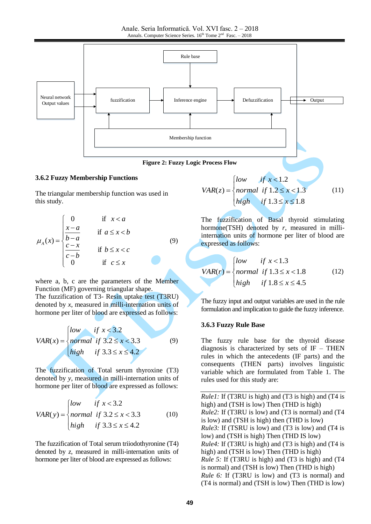

#### **3.6.2 Fuzzy Membership Functions**

The triangular membership function was used in this study.

$$
\mu_A(x) = \begin{cases}\n0 & \text{if } x < a \\
\frac{x-a}{b-a} & \text{if } a \le x < b \\
\frac{c-x}{c-b} & \text{if } b \le x < c \\
0 & \text{if } c \le x\n\end{cases}
$$
\n(9)

where a, b, c are the parameters of the Member Function (MF) governing triangular shape. The fuzzification of T3- Resin uptake test (T3RU) denoted by *x*, measured in milli-internation units of hormone per liter of blood are expressed as follows:

$$
VAR(x) = \begin{cases} low & if \ x < 3.2 \\ normal & if \ 3.2 \le x < 3.3 \\ high & if \ 3.3 \le x \le 4.2 \end{cases}
$$
 (9)

The fuzzification of Total serum thyroxine (T3) denoted by *y*, measured in milli-internation units of hormone per liter of blood are expressed as follows:

$$
VAR(y) = \begin{cases} low & \text{if } x < 3.2 \\ normal & \text{if } 3.2 \le x < 3.3 \\ high & \text{if } 3.3 \le x \le 4.2 \end{cases}
$$
 (10)

The fuzzification of Total serum triiodothyronine (T4) denoted by *z*, measured in milli-internation units of hormone per liter of blood are expressed as follows:

$$
VAR(z) = \begin{cases} low & \text{if } x < 1.2 \\ normal & \text{if } 1.2 \le x < 1.3 \\ high & \text{if } 1.3 \le x \le 1.8 \end{cases} \tag{11}
$$

The fuzzification of Basal thyroid stimulating hormone(TSH) denoted by *r*, measured in milliinternation units of hormone per liter of blood are expressed as follows:

$$
VAR(r) = \begin{cases} low & \text{if } x < 1.3\\ normal & \text{if } 1.3 \le x < 1.8\\ high & \text{if } 1.8 \le x \le 4.5 \end{cases}
$$
 (12)

The fuzzy input and output variables are used in the rule formulation and implication to guide the fuzzy inference.

#### **3.6.3 Fuzzy Rule Base**

The fuzzy rule base for the thyroid disease diagnosis is characterized by sets of  $IF - THEN$ rules in which the antecedents (IF parts) and the consequents (THEN parts) involves linguistic variable which are formulated from Table 1. The rules used for this study are:

*Rule1:* If (T3RU is high) and (T3 is high) and (T4 is high) and (TSH is low) Then (THD is high) *Rule2:* If (T3RU is low) and (T3 is normal) and (T4 is low) and (TSH is high) then (THD is low) *Rule3:* If (TSRU is low) and (T3 is low) and (T4 is low) and (TSH is high) Then (THD IS low) *Rule4:* If (T3RU is high) and (T3 is high) and (T4 is high) and (TSH is low) Then (THD is high) *Rule 5:* If (T3RU is high) and (T3 is high) and (T4 is normal) and (TSH is low) Then (THD is high) *Rule 6:* If (T3RU is low) and (T3 is normal) and (T4 is normal) and (TSH is low) Then (THD is low)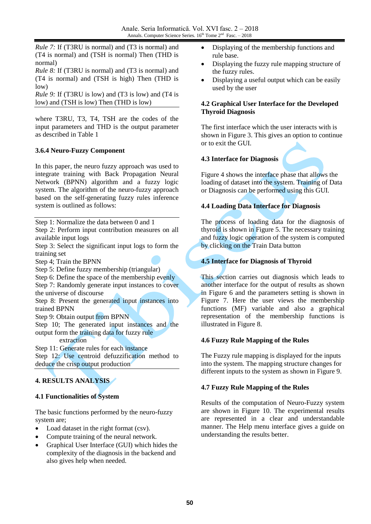*Rule 7:* If (T3RU is normal) and (T3 is normal) and (T4 is normal) and (TSH is normal) Then (THD is normal)

*Rule 8:* If (T3RU is normal) and (T3 is normal) and (T4 is normal) and (TSH is high) Then (THD is low)

*Rule 9:* If (T3RU is low) and (T3 is low) and (T4 is low) and (TSH is low) Then (THD is low)

where T3RU, T3, T4, TSH are the codes of the input parameters and THD is the output parameter as described in Table 1

#### **3.6.4 Neuro-Fuzzy Component**

In this paper, the neuro fuzzy approach was used to integrate training with Back Propagation Neural Network (BPNN) algorithm and a fuzzy logic system. The algorithm of the neuro-fuzzy approach based on the self-generating fuzzy rules inference system is outlined as follows:

Step 1: Normalize the data between 0 and 1

Step 2: Perform input contribution measures on all available input logs

Step 3: Select the significant input logs to form the training set

Step 4; Train the BPNN

Step 5: Define fuzzy membership (triangular)

Step 6: Define the space of the membership evenly

Step 7: Randomly generate input instances to cover the universe of discourse

Step 8: Present the generated input instances into trained BPNN

Step 9: Obtain output from BPNN

Step 10; The generated input instances and the output form the training data for fuzzy rule

extraction

Step 11: Generate rules for each instance

Step 12: Use centroid defuzzification method to deduce the crisp output production

## **4. RESULTS ANALYSIS**

### **4.1 Functionalities of System**

The basic functions performed by the neuro-fuzzy system are;

- Load dataset in the right format (csv).
- Compute training of the neural network.
- Graphical User Interface (GUI) which hides the complexity of the diagnosis in the backend and also gives help when needed.
- Displaying of the membership functions and rule base.
- Displaying the fuzzy rule mapping structure of the fuzzy rules.
- Displaying a useful output which can be easily used by the user

#### **4.2 Graphical User Interface for the Developed Thyroid Diagnosis**

The first interface which the user interacts with is shown in Figure 3. This gives an option to continue or to exit the GUI.

#### **4.3 Interface for Diagnosis**

Figure 4 shows the interface phase that allows the loading of dataset into the system. Training of Data or Diagnosis can be performed using this GUI.

### **4.4 Loading Data Interface for Diagnosis**

The process of loading data for the diagnosis of thyroid is shown in Figure 5. The necessary training and fuzzy logic operation of the system is computed by clicking on the Train Data button

### **4.5 Interface for Diagnosis of Thyroid**

This section carries out diagnosis which leads to another interface for the output of results as shown in Figure 6 and the parameters setting is shown in Figure 7. Here the user views the membership functions (MF) variable and also a graphical representation of the membership functions is illustrated in Figure 8.

#### **4.6 Fuzzy Rule Mapping of the Rules**

The Fuzzy rule mapping is displayed for the inputs into the system. The mapping structure changes for different inputs to the system as shown in Figure 9.

### **4.7 Fuzzy Rule Mapping of the Rules**

Results of the computation of Neuro-Fuzzy system are shown in Figure 10. The experimental results are represented in a clear and understandable manner. The Help menu interface gives a guide on understanding the results better.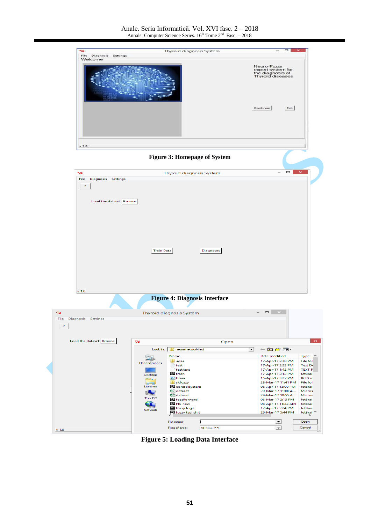

**Figure 5: Loading Data Interface**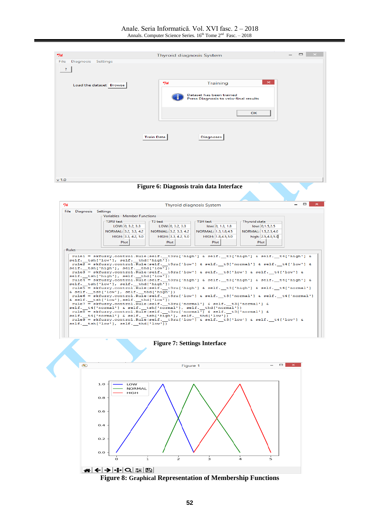



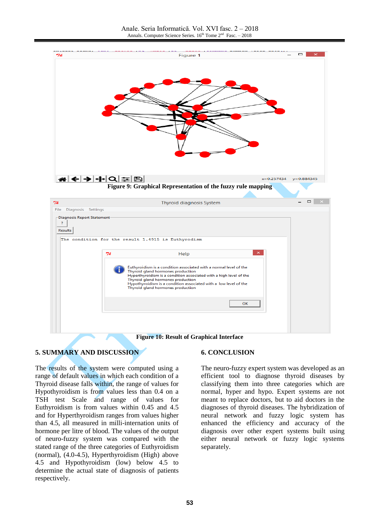

### **5. SUMMARY AND DISCUSSION**

The results of the system were computed using a range of default values in which each condition of a Thyroid disease falls within, the range of values for Hypothyroidism is from values less than 0.4 on a TSH test Scale and range of values for Euthyroidism is from values within 0.45 and 4.5 and for Hyperthyroidism ranges from values higher than 4.5, all measured in milli-internation units of hormone per litre of blood. The values of the output of neuro-fuzzy system was compared with the stated range of the three categories of Euthyroidism (normal), (4.0-4.5), Hyperthyroidism (High) above 4.5 and Hypothyroidism (low) below 4.5 to determine the actual state of diagnosis of patients respectively.

#### **6. CONCLUSION**

The neuro-fuzzy expert system was developed as an efficient tool to diagnose thyroid diseases by classifying them into three categories which are normal, hyper and hypo. Expert systems are not meant to replace doctors, but to aid doctors in the diagnoses of thyroid diseases. The hybridization of neural network and fuzzy logic system has enhanced the efficiency and accuracy of the diagnosis over other expert systems built using either neural network or fuzzy logic systems separately.